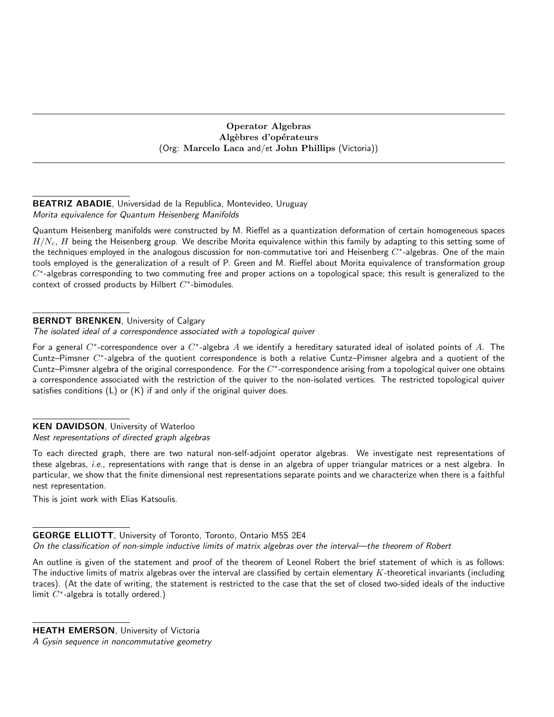## Operator Algebras Algèbres d'opérateurs (Org: Marcelo Laca and/et John Phillips (Victoria))

## BEATRIZ ABADIE, Universidad de la Republica, Montevideo, Uruguay Morita equivalence for Quantum Heisenberg Manifolds

Quantum Heisenberg manifolds were constructed by M. Rieffel as a quantization deformation of certain homogeneous spaces  $H/N_c$ , H being the Heisenberg group. We describe Morita equivalence within this family by adapting to this setting some of the techniques employed in the analogous discussion for non-commutative tori and Heisenberg  $C^*$ -algebras. One of the main tools employed is the generalization of a result of P. Green and M. Rieffel about Morita equivalence of transformation group  $C^*$ -algebras corresponding to two commuting free and proper actions on a topological space; this result is generalized to the context of crossed products by Hilbert  $C^*$ -bimodules.

# **BERNDT BRENKEN, University of Calgary**

The isolated ideal of a correspondence associated with a topological quiver

For a general  $C^*$ -correspondence over a  $C^*$ -algebra  $A$  we identify a hereditary saturated ideal of isolated points of  $A$ . The Cuntz–Pimsner  $C^*$ -algebra of the quotient correspondence is both a relative Cuntz–Pimsner algebra and a quotient of the Cuntz–Pimsner algebra of the original correspondence. For the  $C^*$ -correspondence arising from a topological quiver one obtains a correspondence associated with the restriction of the quiver to the non-isolated vertices. The restricted topological quiver satisfies conditions (L) or (K) if and only if the original quiver does.

# KEN DAVIDSON, University of Waterloo

## Nest representations of directed graph algebras

To each directed graph, there are two natural non-self-adjoint operator algebras. We investigate nest representations of these algebras, i.e., representations with range that is dense in an algebra of upper triangular matrices or a nest algebra. In particular, we show that the finite dimensional nest representations separate points and we characterize when there is a faithful nest representation.

This is joint work with Elias Katsoulis.

## GEORGE ELLIOTT, University of Toronto, Toronto, Ontario M5S 2E4 On the classification of non-simple inductive limits of matrix algebras over the interval—the theorem of Robert

An outline is given of the statement and proof of the theorem of Leonel Robert the brief statement of which is as follows: The inductive limits of matrix algebras over the interval are classified by certain elementary  $K$ -theoretical invariants (including traces). (At the date of writing, the statement is restricted to the case that the set of closed two-sided ideals of the inductive limit  $C^*$ -algebra is totally ordered.)

**HEATH EMERSON, University of Victoria** 

A Gysin sequence in noncommutative geometry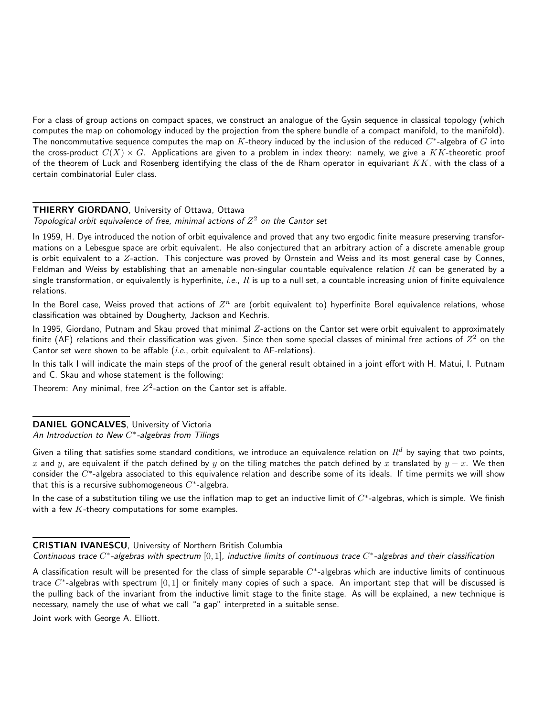For a class of group actions on compact spaces, we construct an analogue of the Gysin sequence in classical topology (which computes the map on cohomology induced by the projection from the sphere bundle of a compact manifold, to the manifold). The noncommutative sequence computes the map on  $K$ -theory induced by the inclusion of the reduced  $C^*$ -algebra of  $G$  into the cross-product  $C(X) \times G$ . Applications are given to a problem in index theory: namely, we give a KK-theoretic proof of the theorem of Luck and Rosenberg identifying the class of the de Rham operator in equivariant  $KK$ , with the class of a certain combinatorial Euler class.

#### **THIERRY GIORDANO, University of Ottawa, Ottawa**

Topological orbit equivalence of free, minimal actions of  $Z^2$  on the Cantor set

In 1959, H. Dye introduced the notion of orbit equivalence and proved that any two ergodic finite measure preserving transformations on a Lebesgue space are orbit equivalent. He also conjectured that an arbitrary action of a discrete amenable group is orbit equivalent to a Z-action. This conjecture was proved by Ornstein and Weiss and its most general case by Connes, Feldman and Weiss by establishing that an amenable non-singular countable equivalence relation  $R$  can be generated by a single transformation, or equivalently is hyperfinite, *i.e.*,  $R$  is up to a null set, a countable increasing union of finite equivalence relations.

In the Borel case, Weiss proved that actions of  $Z^n$  are (orbit equivalent to) hyperfinite Borel equivalence relations, whose classification was obtained by Dougherty, Jackson and Kechris.

In 1995, Giordano, Putnam and Skau proved that minimal  $Z$ -actions on the Cantor set were orbit equivalent to approximately finite (AF) relations and their classification was given. Since then some special classes of minimal free actions of  $Z^2$  on the Cantor set were shown to be affable *(i.e.*, orbit equivalent to AF-relations).

In this talk I will indicate the main steps of the proof of the general result obtained in a joint effort with H. Matui, I. Putnam and C. Skau and whose statement is the following:

Theorem: Any minimal, free  $Z^2$ -action on the Cantor set is affable.

## DANIEL GONCALVES, University of Victoria

An Introduction to New  $C^*$ -algebras from Tilings

Given a tiling that satisfies some standard conditions, we introduce an equivalence relation on  $R^d$  by saying that two points, x and y, are equivalent if the patch defined by y on the tiling matches the patch defined by x translated by  $y - x$ . We then consider the  $C^*$ -algebra associated to this equivalence relation and describe some of its ideals. If time permits we will show that this is a recursive subhomogeneous  $C^*$ -algebra.

In the case of a substitution tiling we use the inflation map to get an inductive limit of  $C^*$ -algebras, which is simple. We finish with a few  $K$ -theory computations for some examples.

## CRISTIAN IVANESCU, University of Northern British Columbia

Continuous trace  $C^*$ -algebras with spectrum  $[0,1]$ , inductive limits of continuous trace  $C^*$ -algebras and their classification

A classification result will be presented for the class of simple separable  $C^*$ -algebras which are inductive limits of continuous trace  $C^*$ -algebras with spectrum  $[0,1]$  or finitely many copies of such a space. An important step that will be discussed is the pulling back of the invariant from the inductive limit stage to the finite stage. As will be explained, a new technique is necessary, namely the use of what we call "a gap" interpreted in a suitable sense.

Joint work with George A. Elliott.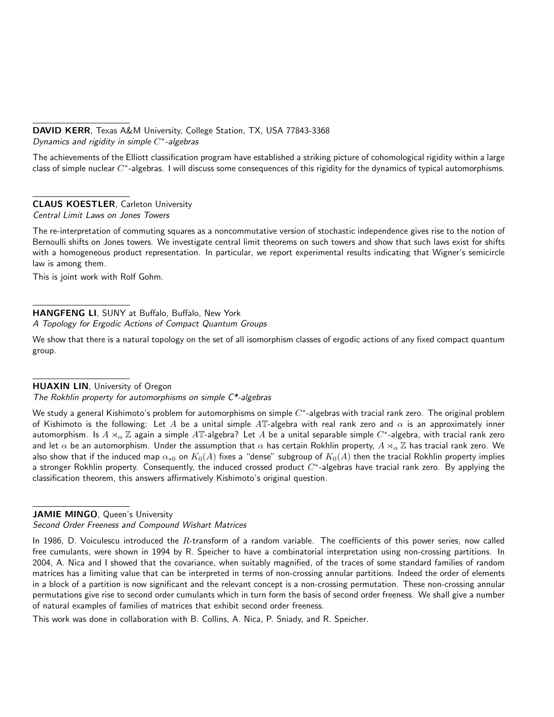## DAVID KERR, Texas A&M University, College Station, TX, USA 77843-3368 Dynamics and rigidity in simple  $C^*$ -algebras

The achievements of the Elliott classification program have established a striking picture of cohomological rigidity within a large class of simple nuclear  $C^*$ -algebras. I will discuss some consequences of this rigidity for the dynamics of typical automorphisms.

## CLAUS KOESTLER, Carleton University

Central Limit Laws on Jones Towers

The re-interpretation of commuting squares as a noncommutative version of stochastic independence gives rise to the notion of Bernoulli shifts on Jones towers. We investigate central limit theorems on such towers and show that such laws exist for shifts with a homogeneous product representation. In particular, we report experimental results indicating that Wigner's semicircle law is among them.

This is joint work with Rolf Gohm.

## HANGFENG LI, SUNY at Buffalo, Buffalo, New York A Topology for Ergodic Actions of Compact Quantum Groups

We show that there is a natural topology on the set of all isomorphism classes of ergodic actions of any fixed compact quantum group.

## HUAXIN LIN, University of Oregon

The Rokhlin property for automorphisms on simple C\*-algebras

We study a general Kishimoto's problem for automorphisms on simple  $C^*$ -algebras with tracial rank zero. The original problem of Kishimoto is the following: Let A be a unital simple AT-algebra with real rank zero and  $\alpha$  is an approximately inner automorphism. Is  $A\rtimes_\alpha\Z$  again a simple  $A\mathbb{T}$ -algebra? Let  $A$  be a unital separable simple  $C^*$ -algebra, with tracial rank zero and let  $\alpha$  be an automorphism. Under the assumption that  $\alpha$  has certain Rokhlin property,  $A \rtimes_\alpha \mathbb{Z}$  has tracial rank zero. We also show that if the induced map  $\alpha_{*0}$  on  $K_0(A)$  fixes a "dense" subgroup of  $K_0(A)$  then the tracial Rokhlin property implies a stronger Rokhlin property. Consequently, the induced crossed product  $C^*$ -algebras have tracial rank zero. By applying the classification theorem, this answers affirmatively Kishimoto's original question.

## JAMIE MINGO, Queen's University

Second Order Freeness and Compound Wishart Matrices

In 1986, D. Voiculescu introduced the  $R$ -transform of a random variable. The coefficients of this power series, now called free cumulants, were shown in 1994 by R. Speicher to have a combinatorial interpretation using non-crossing partitions. In 2004, A. Nica and I showed that the covariance, when suitably magnified, of the traces of some standard families of random matrices has a limiting value that can be interpreted in terms of non-crossing annular partitions. Indeed the order of elements in a block of a partition is now significant and the relevant concept is a non-crossing permutation. These non-crossing annular permutations give rise to second order cumulants which in turn form the basis of second order freeness. We shall give a number of natural examples of families of matrices that exhibit second order freeness.

This work was done in collaboration with B. Collins, A. Nica, P. Sniady, and R. Speicher.